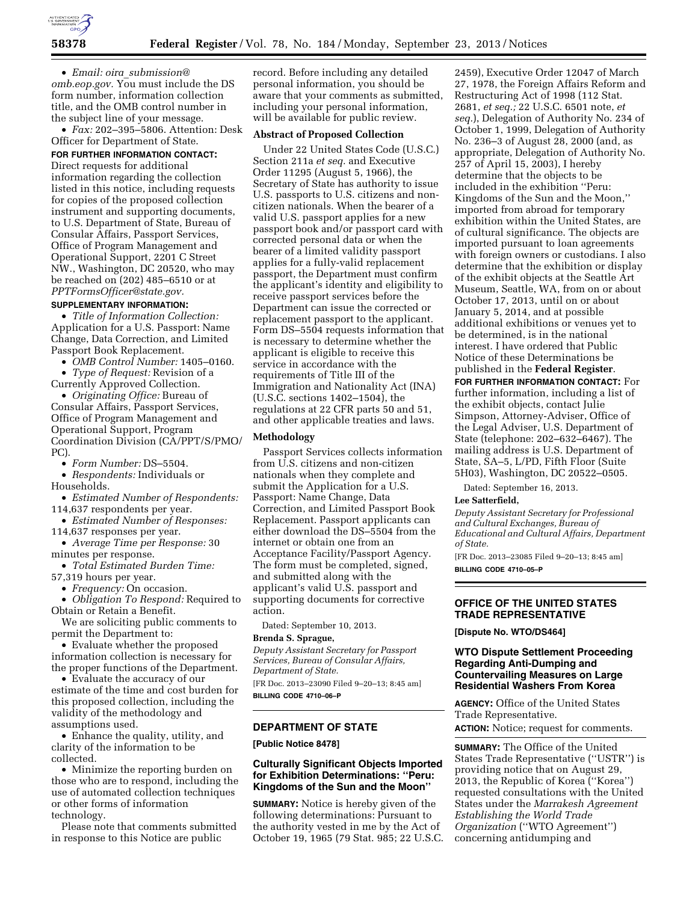

• *Email: oira*\_*[submission@](mailto:oira_submission@omb.eop.gov) [omb.eop.gov.](mailto:oira_submission@omb.eop.gov)* You must include the DS form number, information collection title, and the OMB control number in the subject line of your message.

• *Fax:* 202–395–5806. Attention: Desk Officer for Department of State.

**FOR FURTHER INFORMATION CONTACT:** 

Direct requests for additional information regarding the collection listed in this notice, including requests for copies of the proposed collection instrument and supporting documents, to U.S. Department of State, Bureau of Consular Affairs, Passport Services, Office of Program Management and Operational Support, 2201 C Street NW., Washington, DC 20520, who may be reached on (202) 485–6510 or at *[PPTFormsOfficer@state.gov.](mailto:PPTFormsOfficer@state.gov)* 

## **SUPPLEMENTARY INFORMATION:**

• *Title of Information Collection:*  Application for a U.S. Passport: Name Change, Data Correction, and Limited Passport Book Replacement.

• *OMB Control Number:* 1405–0160.

• *Type of Request:* Revision of a Currently Approved Collection.

• *Originating Office:* Bureau of Consular Affairs, Passport Services, Office of Program Management and Operational Support, Program Coordination Division (CA/PPT/S/PMO/ PC).

• *Form Number:* DS–5504.

• *Respondents:* Individuals or Households.

• *Estimated Number of Respondents:*  114,637 respondents per year.

• *Estimated Number of Responses:* 

114,637 responses per year.

• *Average Time per Response:* 30 minutes per response.

• *Total Estimated Burden Time:*  57,319 hours per year.

• *Frequency:* On occasion.

• *Obligation To Respond:* Required to Obtain or Retain a Benefit.

We are soliciting public comments to permit the Department to:

• Evaluate whether the proposed information collection is necessary for the proper functions of the Department.

• Evaluate the accuracy of our estimate of the time and cost burden for this proposed collection, including the validity of the methodology and assumptions used.

• Enhance the quality, utility, and clarity of the information to be collected.

• Minimize the reporting burden on those who are to respond, including the use of automated collection techniques or other forms of information technology.

Please note that comments submitted in response to this Notice are public

record. Before including any detailed personal information, you should be aware that your comments as submitted, including your personal information, will be available for public review.

#### **Abstract of Proposed Collection**

Under 22 United States Code (U.S.C.) Section 211a *et seq.* and Executive Order 11295 (August 5, 1966), the Secretary of State has authority to issue U.S. passports to U.S. citizens and noncitizen nationals. When the bearer of a valid U.S. passport applies for a new passport book and/or passport card with corrected personal data or when the bearer of a limited validity passport applies for a fully-valid replacement passport, the Department must confirm the applicant's identity and eligibility to receive passport services before the Department can issue the corrected or replacement passport to the applicant. Form DS–5504 requests information that is necessary to determine whether the applicant is eligible to receive this service in accordance with the requirements of Title III of the Immigration and Nationality Act (INA) (U.S.C. sections 1402–1504), the regulations at 22 CFR parts 50 and 51, and other applicable treaties and laws.

#### **Methodology**

Passport Services collects information from U.S. citizens and non-citizen nationals when they complete and submit the Application for a U.S. Passport: Name Change, Data Correction, and Limited Passport Book Replacement. Passport applicants can either download the DS–5504 from the internet or obtain one from an Acceptance Facility/Passport Agency. The form must be completed, signed, and submitted along with the applicant's valid U.S. passport and supporting documents for corrective action.

Dated: September 10, 2013.

# **Brenda S. Sprague,**

*Deputy Assistant Secretary for Passport Services, Bureau of Consular Affairs, Department of State.* 

[FR Doc. 2013–23090 Filed 9–20–13; 8:45 am] **BILLING CODE 4710–06–P** 

# **DEPARTMENT OF STATE**

**[Public Notice 8478]** 

# **Culturally Significant Objects Imported for Exhibition Determinations: ''Peru: Kingdoms of the Sun and the Moon''**

**SUMMARY:** Notice is hereby given of the following determinations: Pursuant to the authority vested in me by the Act of October 19, 1965 (79 Stat. 985; 22 U.S.C.

2459), Executive Order 12047 of March 27, 1978, the Foreign Affairs Reform and Restructuring Act of 1998 (112 Stat. 2681, *et seq.;* 22 U.S.C. 6501 note, *et seq.*), Delegation of Authority No. 234 of October 1, 1999, Delegation of Authority No. 236–3 of August 28, 2000 (and, as appropriate, Delegation of Authority No. 257 of April 15, 2003), I hereby determine that the objects to be included in the exhibition ''Peru: Kingdoms of the Sun and the Moon,'' imported from abroad for temporary exhibition within the United States, are of cultural significance. The objects are imported pursuant to loan agreements with foreign owners or custodians. I also determine that the exhibition or display of the exhibit objects at the Seattle Art Museum, Seattle, WA, from on or about October 17, 2013, until on or about January 5, 2014, and at possible additional exhibitions or venues yet to be determined, is in the national interest. I have ordered that Public Notice of these Determinations be published in the **Federal Register**.

**FOR FURTHER INFORMATION CONTACT:** For further information, including a list of the exhibit objects, contact Julie Simpson, Attorney-Adviser, Office of the Legal Adviser, U.S. Department of State (telephone: 202–632–6467). The mailing address is U.S. Department of State, SA–5, L/PD, Fifth Floor (Suite 5H03), Washington, DC 20522–0505.

Dated: September 16, 2013.

#### **Lee Satterfield,**

*Deputy Assistant Secretary for Professional and Cultural Exchanges, Bureau of Educational and Cultural Affairs, Department of State.* 

[FR Doc. 2013–23085 Filed 9–20–13; 8:45 am] **BILLING CODE 4710–05–P** 

**OFFICE OF THE UNITED STATES TRADE REPRESENTATIVE** 

**[Dispute No. WTO/DS464]** 

#### **WTO Dispute Settlement Proceeding Regarding Anti-Dumping and Countervailing Measures on Large Residential Washers From Korea**

**AGENCY:** Office of the United States Trade Representative. **ACTION:** Notice; request for comments.

**SUMMARY:** The Office of the United States Trade Representative (''USTR'') is providing notice that on August 29, 2013, the Republic of Korea (''Korea'') requested consultations with the United States under the *Marrakesh Agreement Establishing the World Trade Organization* (''WTO Agreement'') concerning antidumping and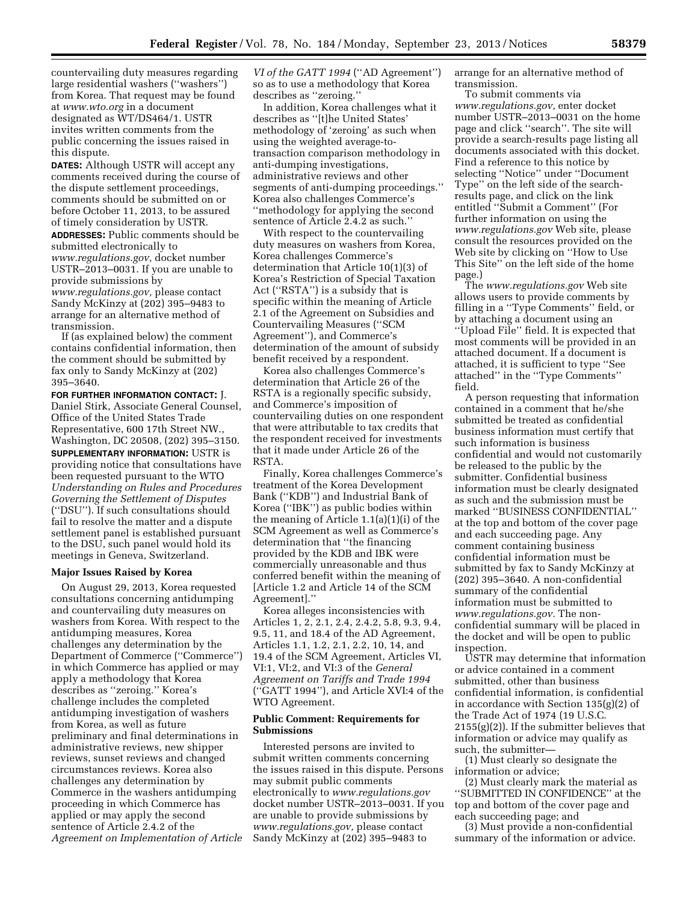countervailing duty measures regarding large residential washers (''washers'') from Korea. That request may be found at *[www.wto.org](http://www.wto.org)* in a document designated as WT/DS464/1. USTR invites written comments from the public concerning the issues raised in this dispute.

**DATES:** Although USTR will accept any comments received during the course of the dispute settlement proceedings, comments should be submitted on or before October 11, 2013, to be assured of timely consideration by USTR.

**ADDRESSES:** Public comments should be submitted electronically to *[www.regulations.gov,](http://www.regulations.gov)* docket number USTR–2013–0031. If you are unable to provide submissions by *[www.regulations.gov,](http://www.regulations.gov)* please contact Sandy McKinzy at (202) 395–9483 to arrange for an alternative method of transmission.

If (as explained below) the comment contains confidential information, then the comment should be submitted by fax only to Sandy McKinzy at (202) 395–3640.

**FOR FURTHER INFORMATION CONTACT:** J. Daniel Stirk, Associate General Counsel, Office of the United States Trade Representative, 600 17th Street NW., Washington, DC 20508, (202) 395–3150. **SUPPLEMENTARY INFORMATION:** USTR is providing notice that consultations have been requested pursuant to the WTO *Understanding on Rules and Procedures Governing the Settlement of Disputes*  (''DSU''). If such consultations should fail to resolve the matter and a dispute settlement panel is established pursuant to the DSU, such panel would hold its meetings in Geneva, Switzerland.

#### **Major Issues Raised by Korea**

On August 29, 2013, Korea requested consultations concerning antidumping and countervailing duty measures on washers from Korea. With respect to the antidumping measures, Korea challenges any determination by the Department of Commerce (''Commerce'') in which Commerce has applied or may apply a methodology that Korea describes as ''zeroing.'' Korea's challenge includes the completed antidumping investigation of washers from Korea, as well as future preliminary and final determinations in administrative reviews, new shipper reviews, sunset reviews and changed circumstances reviews. Korea also challenges any determination by Commerce in the washers antidumping proceeding in which Commerce has applied or may apply the second sentence of Article 2.4.2 of the *Agreement on Implementation of Article*  *VI of the GATT 1994* (''AD Agreement'') so as to use a methodology that Korea describes as ''zeroing.''

In addition, Korea challenges what it describes as ''[t]he United States' methodology of 'zeroing' as such when using the weighted average-totransaction comparison methodology in anti-dumping investigations, administrative reviews and other segments of anti-dumping proceedings.'' Korea also challenges Commerce's ''methodology for applying the second sentence of Article 2.4.2 as such.''

With respect to the countervailing duty measures on washers from Korea, Korea challenges Commerce's determination that Article 10(1)(3) of Korea's Restriction of Special Taxation Act (''RSTA'') is a subsidy that is specific within the meaning of Article 2.1 of the Agreement on Subsidies and Countervailing Measures (''SCM Agreement''), and Commerce's determination of the amount of subsidy benefit received by a respondent.

Korea also challenges Commerce's determination that Article 26 of the RSTA is a regionally specific subsidy, and Commerce's imposition of countervailing duties on one respondent that were attributable to tax credits that the respondent received for investments that it made under Article 26 of the RSTA.

Finally, Korea challenges Commerce's treatment of the Korea Development Bank (''KDB'') and Industrial Bank of Korea (''IBK'') as public bodies within the meaning of Article 1.1(a)(1)(i) of the SCM Agreement as well as Commerce's determination that ''the financing provided by the KDB and IBK were commercially unreasonable and thus conferred benefit within the meaning of [Article 1.2 and Article 14 of the SCM Agreement].''

Korea alleges inconsistencies with Articles 1, 2, 2.1, 2.4, 2.4.2, 5.8, 9.3, 9.4, 9.5, 11, and 18.4 of the AD Agreement, Articles 1.1, 1.2, 2.1, 2.2, 10, 14, and 19.4 of the SCM Agreement, Articles VI, VI:1, VI:2, and VI:3 of the *General Agreement on Tariffs and Trade 1994*  (''GATT 1994''), and Article XVI:4 of the WTO Agreement.

## **Public Comment: Requirements for Submissions**

Interested persons are invited to submit written comments concerning the issues raised in this dispute. Persons may submit public comments electronically to *[www.regulations.gov](http://www.regulations.gov)*  docket number USTR–2013–0031. If you are unable to provide submissions by *[www.regulations.gov,](http://www.regulations.gov)* please contact Sandy McKinzy at (202) 395–9483 to

arrange for an alternative method of transmission.

To submit comments via *[www.regulations.gov,](http://www.regulations.gov)* enter docket number USTR–2013–0031 on the home page and click ''search''. The site will provide a search-results page listing all documents associated with this docket. Find a reference to this notice by selecting ''Notice'' under ''Document Type'' on the left side of the searchresults page, and click on the link entitled ''Submit a Comment'' (For further information on using the *[www.regulations.gov](http://www.regulations.gov)* Web site, please consult the resources provided on the Web site by clicking on ''How to Use This Site'' on the left side of the home page.)

The *[www.regulations.gov](http://www.regulations.gov)* Web site allows users to provide comments by filling in a ''Type Comments'' field, or by attaching a document using an ''Upload File'' field. It is expected that most comments will be provided in an attached document. If a document is attached, it is sufficient to type ''See attached'' in the ''Type Comments'' field.

A person requesting that information contained in a comment that he/she submitted be treated as confidential business information must certify that such information is business confidential and would not customarily be released to the public by the submitter. Confidential business information must be clearly designated as such and the submission must be marked ''BUSINESS CONFIDENTIAL'' at the top and bottom of the cover page and each succeeding page. Any comment containing business confidential information must be submitted by fax to Sandy McKinzy at (202) 395–3640. A non-confidential summary of the confidential information must be submitted to *[www.regulations.gov.](http://www.regulations.gov)* The nonconfidential summary will be placed in the docket and will be open to public inspection.

USTR may determine that information or advice contained in a comment submitted, other than business confidential information, is confidential in accordance with Section 135(g)(2) of the Trade Act of 1974 (19 U.S.C.  $2155(g)(2)$ ). If the submitter believes that information or advice may qualify as such, the submitter—

(1) Must clearly so designate the information or advice;

(2) Must clearly mark the material as ''SUBMITTED IN CONFIDENCE'' at the top and bottom of the cover page and each succeeding page; and

(3) Must provide a non-confidential summary of the information or advice.